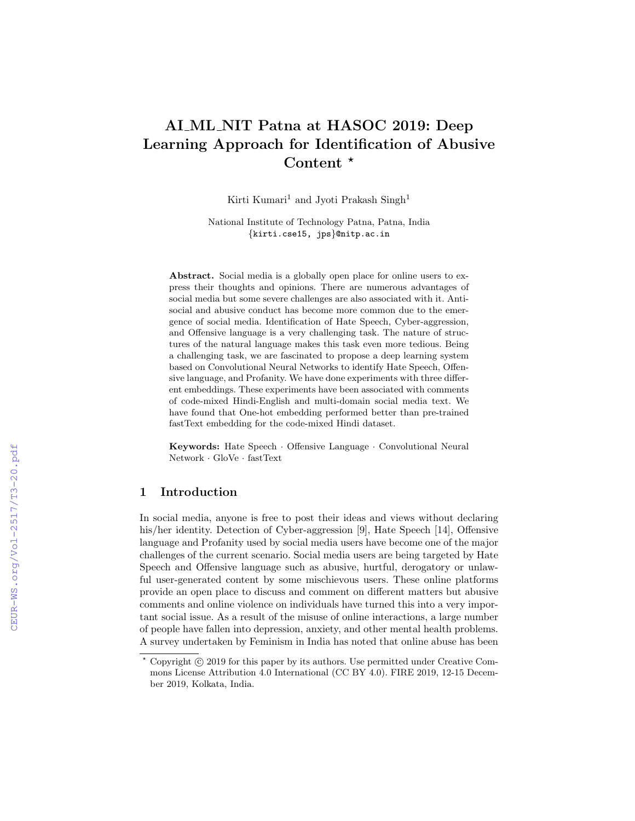# AI ML NIT Patna at HASOC 2019: Deep Learning Approach for Identification of Abusive Content  $*$

Kirti Kumari<sup>1</sup> and Jyoti Prakash Singh<sup>1</sup>

National Institute of Technology Patna, Patna, India {kirti.cse15, jps}@nitp.ac.in

Abstract. Social media is a globally open place for online users to express their thoughts and opinions. There are numerous advantages of social media but some severe challenges are also associated with it. Antisocial and abusive conduct has become more common due to the emergence of social media. Identification of Hate Speech, Cyber-aggression, and Offensive language is a very challenging task. The nature of structures of the natural language makes this task even more tedious. Being a challenging task, we are fascinated to propose a deep learning system based on Convolutional Neural Networks to identify Hate Speech, Offensive language, and Profanity. We have done experiments with three different embeddings. These experiments have been associated with comments of code-mixed Hindi-English and multi-domain social media text. We have found that One-hot embedding performed better than pre-trained fastText embedding for the code-mixed Hindi dataset.

Keywords: Hate Speech · Offensive Language · Convolutional Neural Network · GloVe · fastText

### 1 Introduction

In social media, anyone is free to post their ideas and views without declaring his/her identity. Detection of Cyber-aggression [9], Hate Speech [14], Offensive language and Profanity used by social media users have become one of the major challenges of the current scenario. Social media users are being targeted by Hate Speech and Offensive language such as abusive, hurtful, derogatory or unlawful user-generated content by some mischievous users. These online platforms provide an open place to discuss and comment on different matters but abusive comments and online violence on individuals have turned this into a very important social issue. As a result of the misuse of online interactions, a large number of people have fallen into depression, anxiety, and other mental health problems. A survey undertaken by Feminism in India has noted that online abuse has been

Copyright  $\odot$  2019 for this paper by its authors. Use permitted under Creative Commons License Attribution 4.0 International (CC BY 4.0). FIRE 2019, 12-15 December 2019, Kolkata, India.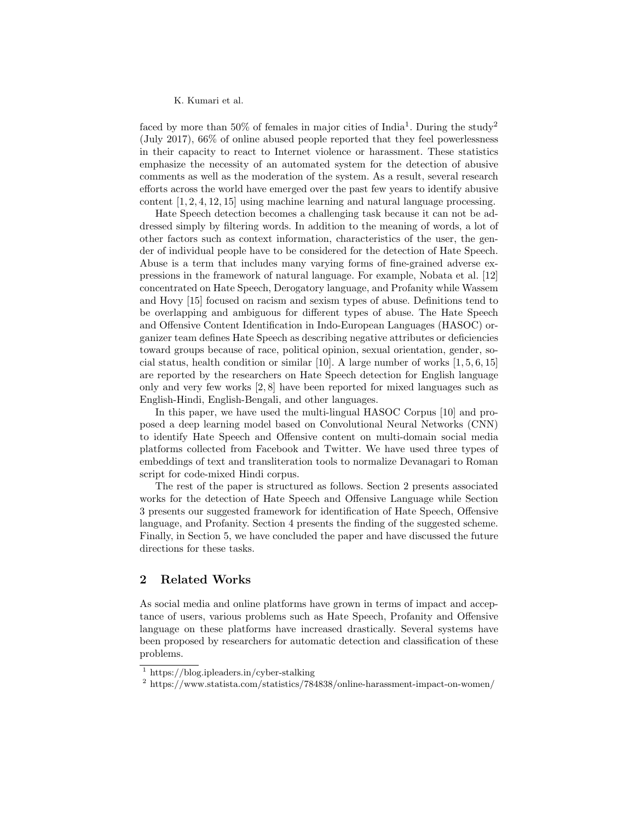faced by more than 50% of females in major cities of India<sup>1</sup>. During the study<sup>2</sup> (July 2017), 66% of online abused people reported that they feel powerlessness in their capacity to react to Internet violence or harassment. These statistics emphasize the necessity of an automated system for the detection of abusive comments as well as the moderation of the system. As a result, several research efforts across the world have emerged over the past few years to identify abusive content [1, 2, 4, 12, 15] using machine learning and natural language processing.

Hate Speech detection becomes a challenging task because it can not be addressed simply by filtering words. In addition to the meaning of words, a lot of other factors such as context information, characteristics of the user, the gender of individual people have to be considered for the detection of Hate Speech. Abuse is a term that includes many varying forms of fine-grained adverse expressions in the framework of natural language. For example, Nobata et al. [12] concentrated on Hate Speech, Derogatory language, and Profanity while Wassem and Hovy [15] focused on racism and sexism types of abuse. Definitions tend to be overlapping and ambiguous for different types of abuse. The Hate Speech and Offensive Content Identification in Indo-European Languages (HASOC) organizer team defines Hate Speech as describing negative attributes or deficiencies toward groups because of race, political opinion, sexual orientation, gender, social status, health condition or similar [10]. A large number of works  $[1, 5, 6, 15]$ are reported by the researchers on Hate Speech detection for English language only and very few works [2, 8] have been reported for mixed languages such as English-Hindi, English-Bengali, and other languages.

In this paper, we have used the multi-lingual HASOC Corpus [10] and proposed a deep learning model based on Convolutional Neural Networks (CNN) to identify Hate Speech and Offensive content on multi-domain social media platforms collected from Facebook and Twitter. We have used three types of embeddings of text and transliteration tools to normalize Devanagari to Roman script for code-mixed Hindi corpus.

The rest of the paper is structured as follows. Section 2 presents associated works for the detection of Hate Speech and Offensive Language while Section 3 presents our suggested framework for identification of Hate Speech, Offensive language, and Profanity. Section 4 presents the finding of the suggested scheme. Finally, in Section 5, we have concluded the paper and have discussed the future directions for these tasks.

## 2 Related Works

As social media and online platforms have grown in terms of impact and acceptance of users, various problems such as Hate Speech, Profanity and Offensive language on these platforms have increased drastically. Several systems have been proposed by researchers for automatic detection and classification of these problems.

<sup>1</sup> https://blog.ipleaders.in/cyber-stalking

<sup>2</sup> https://www.statista.com/statistics/784838/online-harassment-impact-on-women/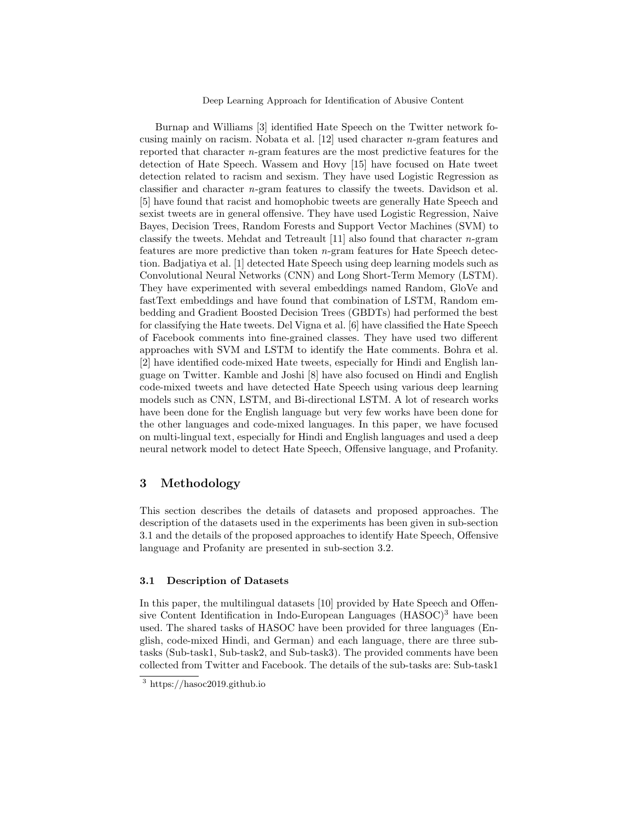Deep Learning Approach for Identification of Abusive Content

Burnap and Williams [3] identified Hate Speech on the Twitter network focusing mainly on racism. Nobata et al. [12] used character n-gram features and reported that character n-gram features are the most predictive features for the detection of Hate Speech. Wassem and Hovy [15] have focused on Hate tweet detection related to racism and sexism. They have used Logistic Regression as classifier and character n-gram features to classify the tweets. Davidson et al. [5] have found that racist and homophobic tweets are generally Hate Speech and sexist tweets are in general offensive. They have used Logistic Regression, Naive Bayes, Decision Trees, Random Forests and Support Vector Machines (SVM) to classify the tweets. Mehdat and Tetreault  $[11]$  also found that character *n*-gram features are more predictive than token n-gram features for Hate Speech detection. Badjatiya et al. [1] detected Hate Speech using deep learning models such as Convolutional Neural Networks (CNN) and Long Short-Term Memory (LSTM). They have experimented with several embeddings named Random, GloVe and fastText embeddings and have found that combination of LSTM, Random embedding and Gradient Boosted Decision Trees (GBDTs) had performed the best for classifying the Hate tweets. Del Vigna et al. [6] have classified the Hate Speech of Facebook comments into fine-grained classes. They have used two different approaches with SVM and LSTM to identify the Hate comments. Bohra et al. [2] have identified code-mixed Hate tweets, especially for Hindi and English language on Twitter. Kamble and Joshi [8] have also focused on Hindi and English code-mixed tweets and have detected Hate Speech using various deep learning models such as CNN, LSTM, and Bi-directional LSTM. A lot of research works have been done for the English language but very few works have been done for the other languages and code-mixed languages. In this paper, we have focused on multi-lingual text, especially for Hindi and English languages and used a deep neural network model to detect Hate Speech, Offensive language, and Profanity.

## 3 Methodology

This section describes the details of datasets and proposed approaches. The description of the datasets used in the experiments has been given in sub-section 3.1 and the details of the proposed approaches to identify Hate Speech, Offensive language and Profanity are presented in sub-section 3.2.

## 3.1 Description of Datasets

In this paper, the multilingual datasets [10] provided by Hate Speech and Offensive Content Identification in Indo-European Languages (HASOC)<sup>3</sup> have been used. The shared tasks of HASOC have been provided for three languages (English, code-mixed Hindi, and German) and each language, there are three subtasks (Sub-task1, Sub-task2, and Sub-task3). The provided comments have been collected from Twitter and Facebook. The details of the sub-tasks are: Sub-task1

<sup>3</sup> https://hasoc2019.github.io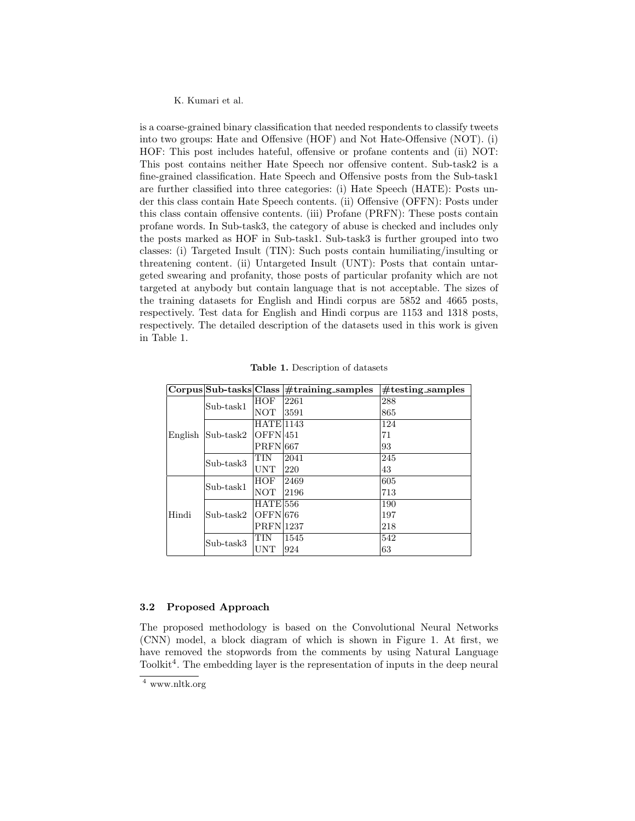is a coarse-grained binary classification that needed respondents to classify tweets into two groups: Hate and Offensive (HOF) and Not Hate-Offensive (NOT). (i) HOF: This post includes hateful, offensive or profane contents and (ii) NOT: This post contains neither Hate Speech nor offensive content. Sub-task2 is a fine-grained classification. Hate Speech and Offensive posts from the Sub-task1 are further classified into three categories: (i) Hate Speech (HATE): Posts under this class contain Hate Speech contents. (ii) Offensive (OFFN): Posts under this class contain offensive contents. (iii) Profane (PRFN): These posts contain profane words. In Sub-task3, the category of abuse is checked and includes only the posts marked as HOF in Sub-task1. Sub-task3 is further grouped into two classes: (i) Targeted Insult (TIN): Such posts contain humiliating/insulting or threatening content. (ii) Untargeted Insult (UNT): Posts that contain untargeted swearing and profanity, those posts of particular profanity which are not targeted at anybody but contain language that is not acceptable. The sizes of the training datasets for English and Hindi corpus are 5852 and 4665 posts, respectively. Test data for English and Hindi corpus are 1153 and 1318 posts, respectively. The detailed description of the datasets used in this work is given in Table 1.

|         | $Corpus Sub\text{-}tasks Class$ |                   | $#training\_samples$ | $#testing$ _samples |
|---------|---------------------------------|-------------------|----------------------|---------------------|
| English | Sub-task1                       | HOF               | 2261                 | 288                 |
|         |                                 | <b>NOT</b>        | 3591                 | 865                 |
|         | $Sub$ -task $2$                 | $HATE$  1143      |                      | 124                 |
|         |                                 | OFEN1451          |                      | 71                  |
|         |                                 | <b>PRFN</b> 667   |                      | 93                  |
|         | Sub-task3                       | TIN               | 2041                 | 245                 |
|         |                                 | <b>UNT</b>        | 220                  | 43                  |
| Hindi   | Sub-task1                       | <b>HOF</b>        | 2469                 | 605                 |
|         |                                 | <b>NOT</b>        | 2196                 | 713                 |
|         | $Sub-task2$                     | $HATE$ 556        |                      | 190                 |
|         |                                 | OFFN 1676         |                      | 197                 |
|         |                                 | <b>PRFN</b>  1237 |                      | 218                 |
|         | Sub-task3                       | TIN               | 1545                 | 542                 |
|         |                                 | <b>UNT</b>        | 924                  | 63                  |

Table 1. Description of datasets

#### 3.2 Proposed Approach

The proposed methodology is based on the Convolutional Neural Networks (CNN) model, a block diagram of which is shown in Figure 1. At first, we have removed the stopwords from the comments by using Natural Language Toolkit<sup>4</sup>. The embedding layer is the representation of inputs in the deep neural

<sup>4</sup> www.nltk.org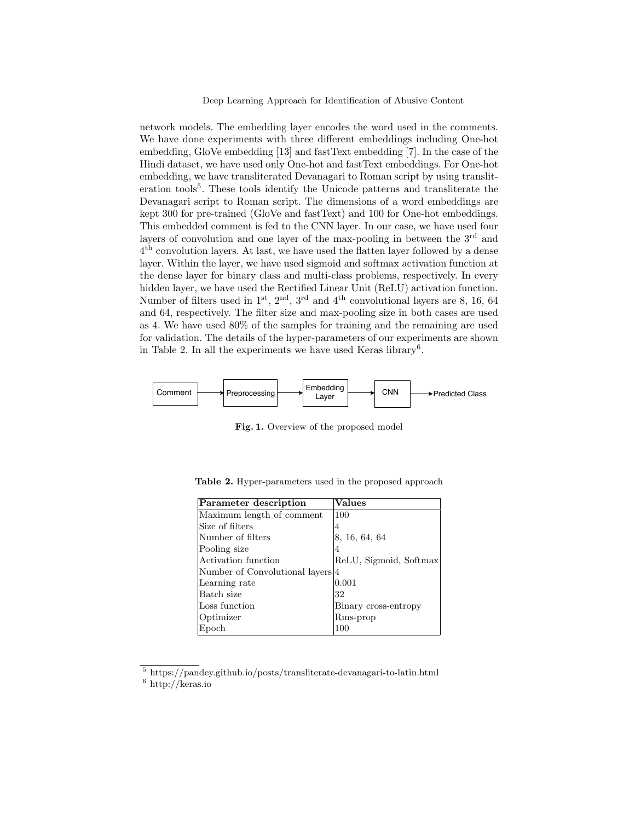Deep Learning Approach for Identification of Abusive Content

network models. The embedding layer encodes the word used in the comments. We have done experiments with three different embeddings including One-hot embedding, GloVe embedding [13] and fastText embedding [7]. In the case of the Hindi dataset, we have used only One-hot and fastText embeddings. For One-hot embedding, we have transliterated Devanagari to Roman script by using transliteration tools<sup>5</sup>. These tools identify the Unicode patterns and transliterate the Devanagari script to Roman script. The dimensions of a word embeddings are kept 300 for pre-trained (GloVe and fastText) and 100 for One-hot embeddings. This embedded comment is fed to the CNN layer. In our case, we have used four layers of convolution and one layer of the max-pooling in between the 3<sup>rd</sup> and 4 th convolution layers. At last, we have used the flatten layer followed by a dense layer. Within the layer, we have used sigmoid and softmax activation function at the dense layer for binary class and multi-class problems, respectively. In every hidden layer, we have used the Rectified Linear Unit (ReLU) activation function. Number of filters used in  $1^{st}$ ,  $2^{nd}$ ,  $3^{rd}$  and  $4^{th}$  convolutional layers are 8, 16, 64 and 64, respectively. The filter size and max-pooling size in both cases are used as 4. We have used 80% of the samples for training and the remaining are used for validation. The details of the hyper-parameters of our experiments are shown in Table 2. In all the experiments we have used Keras library<sup>6</sup>.



Fig. 1. Overview of the proposed model

| Parameter description            | <b>Values</b>          |
|----------------------------------|------------------------|
| Maximum length_of_comment        | 100                    |
| Size of filters                  | 4                      |
| Number of filters                | 8, 16, 64, 64          |
| Pooling size                     | 4                      |
| Activation function              | ReLU, Sigmoid, Softmax |
| Number of Convolutional layers 4 |                        |
| Learning rate                    | 0.001                  |
| Batch size                       | 32                     |
| Loss function                    | Binary cross-entropy   |
| Optimizer                        | Rms-prop               |
| Epoch                            | 100                    |

Table 2. Hyper-parameters used in the proposed approach

<sup>5</sup> https://pandey.github.io/posts/transliterate-devanagari-to-latin.html  $^6$ http://keras.io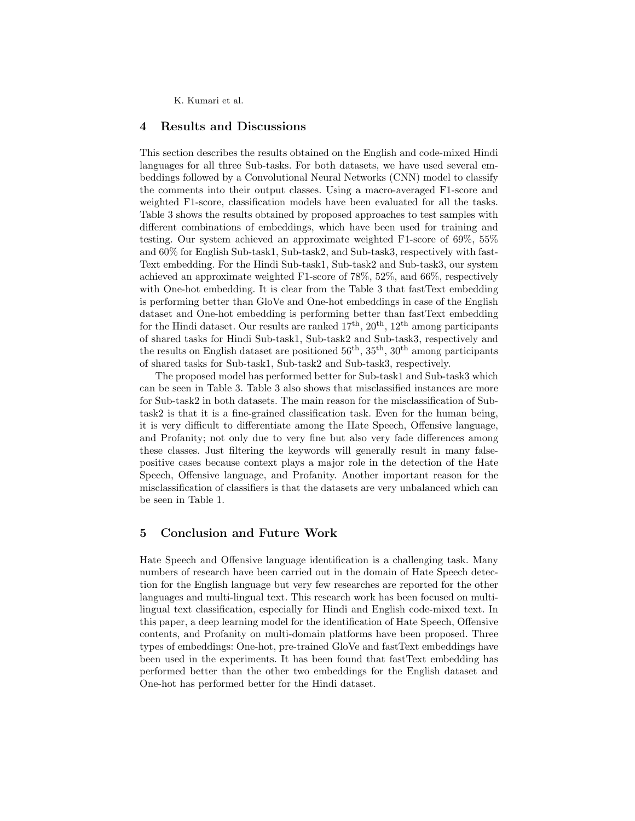## 4 Results and Discussions

This section describes the results obtained on the English and code-mixed Hindi languages for all three Sub-tasks. For both datasets, we have used several embeddings followed by a Convolutional Neural Networks (CNN) model to classify the comments into their output classes. Using a macro-averaged F1-score and weighted F1-score, classification models have been evaluated for all the tasks. Table 3 shows the results obtained by proposed approaches to test samples with different combinations of embeddings, which have been used for training and testing. Our system achieved an approximate weighted F1-score of 69%, 55% and 60% for English Sub-task1, Sub-task2, and Sub-task3, respectively with fast-Text embedding. For the Hindi Sub-task1, Sub-task2 and Sub-task3, our system achieved an approximate weighted F1-score of 78%, 52%, and 66%, respectively with One-hot embedding. It is clear from the Table 3 that fastText embedding is performing better than GloVe and One-hot embeddings in case of the English dataset and One-hot embedding is performing better than fastText embedding for the Hindi dataset. Our results are ranked  $17<sup>th</sup>$ ,  $20<sup>th</sup>$ ,  $12<sup>th</sup>$  among participants of shared tasks for Hindi Sub-task1, Sub-task2 and Sub-task3, respectively and the results on English dataset are positioned  $56<sup>th</sup>$ ,  $35<sup>th</sup>$ ,  $30<sup>th</sup>$  among participants of shared tasks for Sub-task1, Sub-task2 and Sub-task3, respectively.

The proposed model has performed better for Sub-task1 and Sub-task3 which can be seen in Table 3. Table 3 also shows that misclassified instances are more for Sub-task2 in both datasets. The main reason for the misclassification of Subtask2 is that it is a fine-grained classification task. Even for the human being, it is very difficult to differentiate among the Hate Speech, Offensive language, and Profanity; not only due to very fine but also very fade differences among these classes. Just filtering the keywords will generally result in many falsepositive cases because context plays a major role in the detection of the Hate Speech, Offensive language, and Profanity. Another important reason for the misclassification of classifiers is that the datasets are very unbalanced which can be seen in Table 1.

# 5 Conclusion and Future Work

Hate Speech and Offensive language identification is a challenging task. Many numbers of research have been carried out in the domain of Hate Speech detection for the English language but very few researches are reported for the other languages and multi-lingual text. This research work has been focused on multilingual text classification, especially for Hindi and English code-mixed text. In this paper, a deep learning model for the identification of Hate Speech, Offensive contents, and Profanity on multi-domain platforms have been proposed. Three types of embeddings: One-hot, pre-trained GloVe and fastText embeddings have been used in the experiments. It has been found that fastText embedding has performed better than the other two embeddings for the English dataset and One-hot has performed better for the Hindi dataset.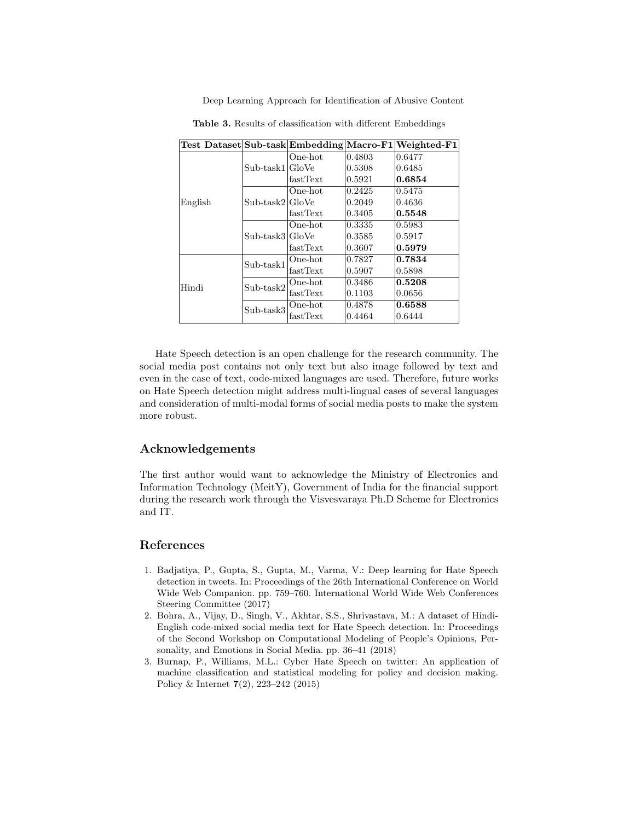Deep Learning Approach for Identification of Abusive Content

|         |                                 |          |        | Test Dataset Sub-task Embedding Macro-F1 Weighted-F1 |
|---------|---------------------------------|----------|--------|------------------------------------------------------|
|         | Sub-task1 GloVe                 | One-hot  | 0.4803 | 0.6477                                               |
|         |                                 |          | 0.5308 | 0.6485                                               |
|         |                                 | fastText | 0.5921 | 0.6854                                               |
|         | $Sub\text{-task2} \text{GloVe}$ | One-hot  | 0.2425 | 0.5475                                               |
| English |                                 |          | 0.2049 | 0.4636                                               |
|         |                                 | fastText | 0.3405 | 0.5548                                               |
|         | Sub-task3 GloVe                 | One-hot  | 0.3335 | 0.5983                                               |
|         |                                 |          | 0.3585 | 0.5917                                               |
|         |                                 | fastText | 0.3607 | 0.5979                                               |
|         | Sub-task1                       | One-hot  | 0.7827 | 0.7834                                               |
|         |                                 | fastText | 0.5907 | 0.5898                                               |
| Hindi   | $Sub$ -task $2$                 | One-hot  | 0.3486 | 0.5208                                               |
|         |                                 | fastText | 0.1103 | 0.0656                                               |
|         | Sub-task3                       | One-hot  | 0.4878 | 0.6588                                               |
|         |                                 | fastText | 0.4464 | 0.6444                                               |

Table 3. Results of classification with different Embeddings

Hate Speech detection is an open challenge for the research community. The social media post contains not only text but also image followed by text and even in the case of text, code-mixed languages are used. Therefore, future works on Hate Speech detection might address multi-lingual cases of several languages and consideration of multi-modal forms of social media posts to make the system more robust.

# Acknowledgements

The first author would want to acknowledge the Ministry of Electronics and Information Technology (MeitY), Government of India for the financial support during the research work through the Visvesvaraya Ph.D Scheme for Electronics and IT.

# References

- 1. Badjatiya, P., Gupta, S., Gupta, M., Varma, V.: Deep learning for Hate Speech detection in tweets. In: Proceedings of the 26th International Conference on World Wide Web Companion. pp. 759–760. International World Wide Web Conferences Steering Committee (2017)
- 2. Bohra, A., Vijay, D., Singh, V., Akhtar, S.S., Shrivastava, M.: A dataset of Hindi-English code-mixed social media text for Hate Speech detection. In: Proceedings of the Second Workshop on Computational Modeling of People's Opinions, Personality, and Emotions in Social Media. pp. 36–41 (2018)
- 3. Burnap, P., Williams, M.L.: Cyber Hate Speech on twitter: An application of machine classification and statistical modeling for policy and decision making. Policy & Internet 7(2), 223–242 (2015)